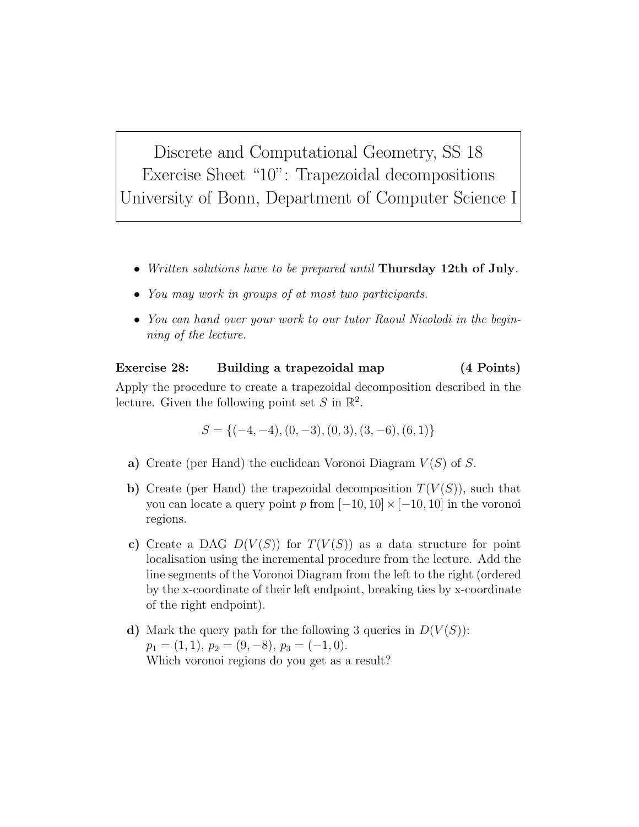Discrete and Computational Geometry, SS 18 Exercise Sheet "10": Trapezoidal decompositions University of Bonn, Department of Computer Science I

- Written solutions have to be prepared until Thursday 12th of July.
- You may work in groups of at most two participants.
- You can hand over your work to our tutor Raoul Nicolodi in the beginning of the lecture.

Exercise 28: Building a trapezoidal map (4 Points) Apply the procedure to create a trapezoidal decomposition described in the lecture. Given the following point set  $S$  in  $\mathbb{R}^2$ .

$$
S = \{(-4, -4), (0, -3), (0, 3), (3, -6), (6, 1)\}
$$

- a) Create (per Hand) the euclidean Voronoi Diagram  $V(S)$  of S.
- b) Create (per Hand) the trapezoidal decomposition  $T(V(S))$ , such that you can locate a query point p from  $[-10, 10] \times [-10, 10]$  in the voronoi regions.
- c) Create a DAG  $D(V(S))$  for  $T(V(S))$  as a data structure for point localisation using the incremental procedure from the lecture. Add the line segments of the Voronoi Diagram from the left to the right (ordered by the x-coordinate of their left endpoint, breaking ties by x-coordinate of the right endpoint).
- d) Mark the query path for the following 3 queries in  $D(V(S))$ :  $p_1 = (1, 1), p_2 = (9, -8), p_3 = (-1, 0).$ Which voronoi regions do you get as a result?